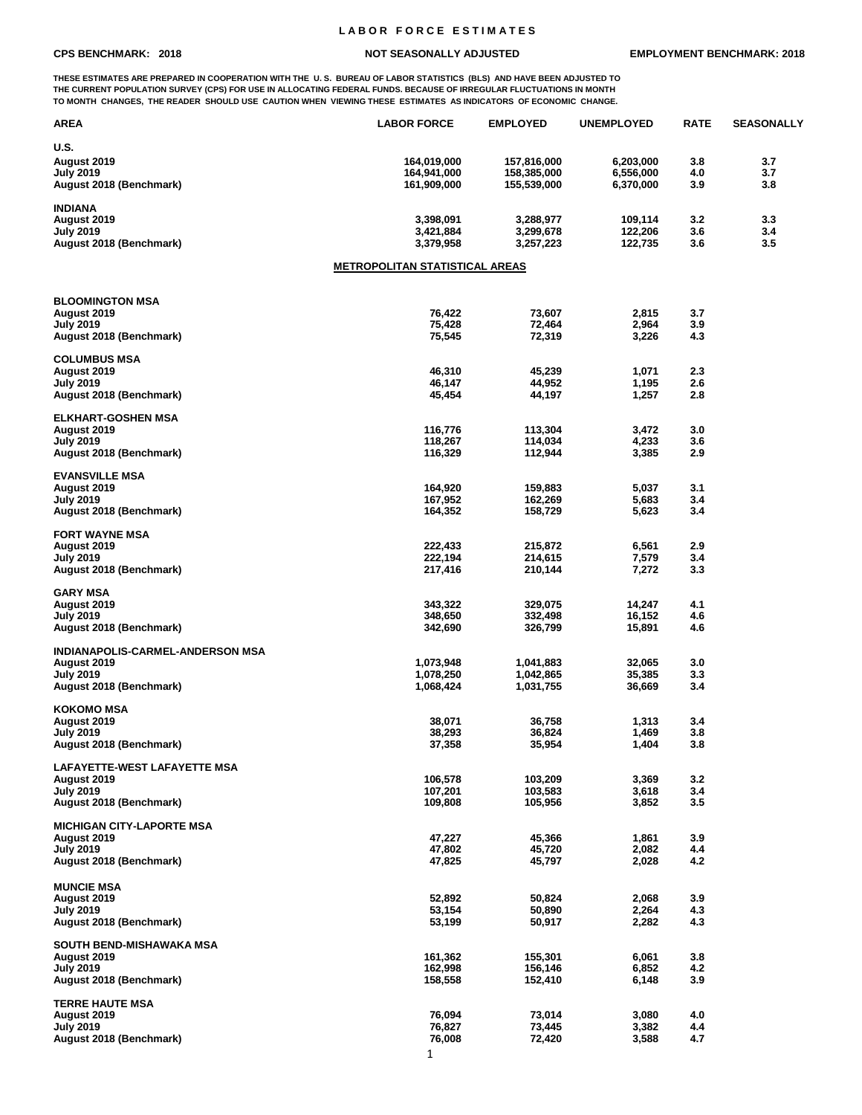## **L A B O R F O R C E E S T I M A T E S**

**THESE ESTIMATES ARE PREPARED IN COOPERATION WITH THE U. S. BUREAU OF LABOR STATISTICS (BLS) AND HAVE BEEN ADJUSTED TO THE CURRENT POPULATION SURVEY (CPS) FOR USE IN ALLOCATING FEDERAL FUNDS. BECAUSE OF IRREGULAR FLUCTUATIONS IN MONTH TO MONTH CHANGES, THE READER SHOULD USE CAUTION WHEN VIEWING THESE ESTIMATES AS INDICATORS OF ECONOMIC CHANGE.**

| AREA                                        | <b>LABOR FORCE</b>                    | <b>EMPLOYED</b>  | <b>UNEMPLOYED</b> | <b>RATE</b> | <b>SEASONALLY</b> |
|---------------------------------------------|---------------------------------------|------------------|-------------------|-------------|-------------------|
| U.S.                                        |                                       |                  |                   |             |                   |
| August 2019                                 | 164,019,000                           | 157,816,000      | 6,203,000         | 3.8         | 3.7               |
| <b>July 2019</b>                            | 164,941,000                           | 158,385,000      | 6,556,000         | 4.0         | 3.7               |
| August 2018 (Benchmark)                     | 161,909,000                           | 155,539,000      | 6,370,000         | 3.9         | 3.8               |
|                                             |                                       |                  |                   |             |                   |
| <b>INDIANA</b>                              |                                       |                  |                   |             |                   |
| August 2019                                 | 3,398,091                             | 3,288,977        | 109,114           | 3.2         | 3.3               |
| <b>July 2019</b>                            | 3,421,884                             | 3,299,678        | 122,206           | 3.6         | 3.4               |
| August 2018 (Benchmark)                     | 3,379,958                             | 3,257,223        | 122,735           | 3.6         | 3.5               |
|                                             | <u>METROPOLITAN STATISTICAL AREAS</u> |                  |                   |             |                   |
|                                             |                                       |                  |                   |             |                   |
| <b>BLOOMINGTON MSA</b>                      |                                       |                  |                   |             |                   |
| August 2019                                 | 76,422                                | 73,607           | 2,815             | 3.7         |                   |
| <b>July 2019</b>                            | 75,428                                | 72,464           | 2,964             | 3.9         |                   |
| August 2018 (Benchmark)                     | 75,545                                | 72,319           | 3,226             | 4.3         |                   |
|                                             |                                       |                  |                   |             |                   |
| <b>COLUMBUS MSA</b>                         |                                       |                  |                   |             |                   |
| August 2019                                 | 46,310                                | 45,239           | 1,071             | 2.3         |                   |
| <b>July 2019</b>                            | 46,147                                | 44,952           | 1,195             | 2.6         |                   |
| August 2018 (Benchmark)                     | 45,454                                | 44,197           | 1,257             | 2.8         |                   |
| <b>ELKHART-GOSHEN MSA</b>                   |                                       |                  |                   |             |                   |
| August 2019                                 | 116,776                               | 113,304          | 3,472             | 3.0         |                   |
| <b>July 2019</b>                            | 118,267                               | 114,034          | 4,233             | 3.6         |                   |
| August 2018 (Benchmark)                     | 116,329                               | 112,944          | 3,385             | 2.9         |                   |
|                                             |                                       |                  |                   |             |                   |
| <b>EVANSVILLE MSA</b>                       |                                       |                  |                   |             |                   |
| August 2019                                 | 164,920                               | 159,883          | 5,037             | 3.1         |                   |
| <b>July 2019</b>                            | 167,952                               | 162,269          | 5,683             | 3.4         |                   |
| August 2018 (Benchmark)                     | 164,352                               | 158,729          | 5,623             | 3.4         |                   |
|                                             |                                       |                  |                   |             |                   |
| <b>FORT WAYNE MSA</b>                       |                                       |                  |                   |             |                   |
| August 2019                                 | 222,433                               | 215,872          | 6,561             | 2.9         |                   |
| <b>July 2019</b>                            | 222,194                               | 214,615          | 7,579             | 3.4         |                   |
| August 2018 (Benchmark)                     | 217,416                               | 210,144          | 7,272             | 3.3         |                   |
| <b>GARY MSA</b>                             |                                       |                  |                   |             |                   |
| August 2019                                 | 343,322                               | 329,075          | 14,247            | 4.1         |                   |
| <b>July 2019</b>                            | 348,650                               | 332,498          | 16,152            | 4.6         |                   |
| August 2018 (Benchmark)                     | 342,690                               | 326,799          | 15,891            | 4.6         |                   |
|                                             |                                       |                  |                   |             |                   |
| INDIANAPOLIS-CARMEL-ANDERSON MSA            |                                       |                  |                   |             |                   |
| August 2019                                 | 1,073,948                             | 1,041,883        | 32,065            | 3.0         |                   |
| <b>July 2019</b>                            | 1,078,250                             | 1,042,865        | 35,385            | 3.3         |                   |
| August 2018 (Benchmark)                     | 1,068,424                             | 1,031,755        | 36,669            | 3.4         |                   |
|                                             |                                       |                  |                   |             |                   |
| <b>KOKOMO MSA</b>                           |                                       |                  |                   |             |                   |
| August 2019                                 | 38,071                                | 36,758           | 1,313<br>1,469    | 3.4<br>3.8  |                   |
| <b>July 2019</b><br>August 2018 (Benchmark) | 38,293<br>37,358                      | 36,824<br>35,954 | 1,404             | 3.8         |                   |
|                                             |                                       |                  |                   |             |                   |
| <b>LAFAYETTE-WEST LAFAYETTE MSA</b>         |                                       |                  |                   |             |                   |
| August 2019                                 | 106,578                               | 103,209          | 3,369             | 3.2         |                   |
| <b>July 2019</b>                            | 107,201                               | 103,583          | 3,618             | 3.4         |                   |
| August 2018 (Benchmark)                     | 109,808                               | 105,956          | 3,852             | 3.5         |                   |
|                                             |                                       |                  |                   |             |                   |
| <b>MICHIGAN CITY-LAPORTE MSA</b>            |                                       |                  |                   |             |                   |
| August 2019                                 | 47,227                                | 45,366           | 1,861             | 3.9         |                   |
| <b>July 2019</b>                            | 47,802                                | 45,720           | 2,082             | 4.4         |                   |
| August 2018 (Benchmark)                     | 47,825                                | 45,797           | 2,028             | 4.2         |                   |
|                                             |                                       |                  |                   |             |                   |
| <b>MUNCIE MSA</b>                           |                                       |                  |                   |             |                   |
| August 2019<br><b>July 2019</b>             | 52,892<br>53,154                      | 50,824<br>50,890 | 2,068<br>2,264    | 3.9<br>4.3  |                   |
| August 2018 (Benchmark)                     | 53,199                                | 50,917           | 2,282             | 4.3         |                   |
|                                             |                                       |                  |                   |             |                   |
| SOUTH BEND-MISHAWAKA MSA                    |                                       |                  |                   |             |                   |
| August 2019                                 | 161,362                               | 155,301          | 6,061             | 3.8         |                   |
| <b>July 2019</b>                            | 162,998                               | 156,146          | 6,852             | 4.2         |                   |
| August 2018 (Benchmark)                     | 158,558                               | 152,410          | 6,148             | 3.9         |                   |
|                                             |                                       |                  |                   |             |                   |
| <b>TERRE HAUTE MSA</b>                      |                                       |                  |                   |             |                   |
| August 2019                                 | 76,094                                | 73,014           | 3,080             | 4.0         |                   |
| <b>July 2019</b>                            | 76,827                                | 73,445           | 3,382             | 4.4         |                   |
| August 2018 (Benchmark)                     | 76,008                                | 72,420           | 3,588             | 4.7         |                   |
|                                             | 1                                     |                  |                   |             |                   |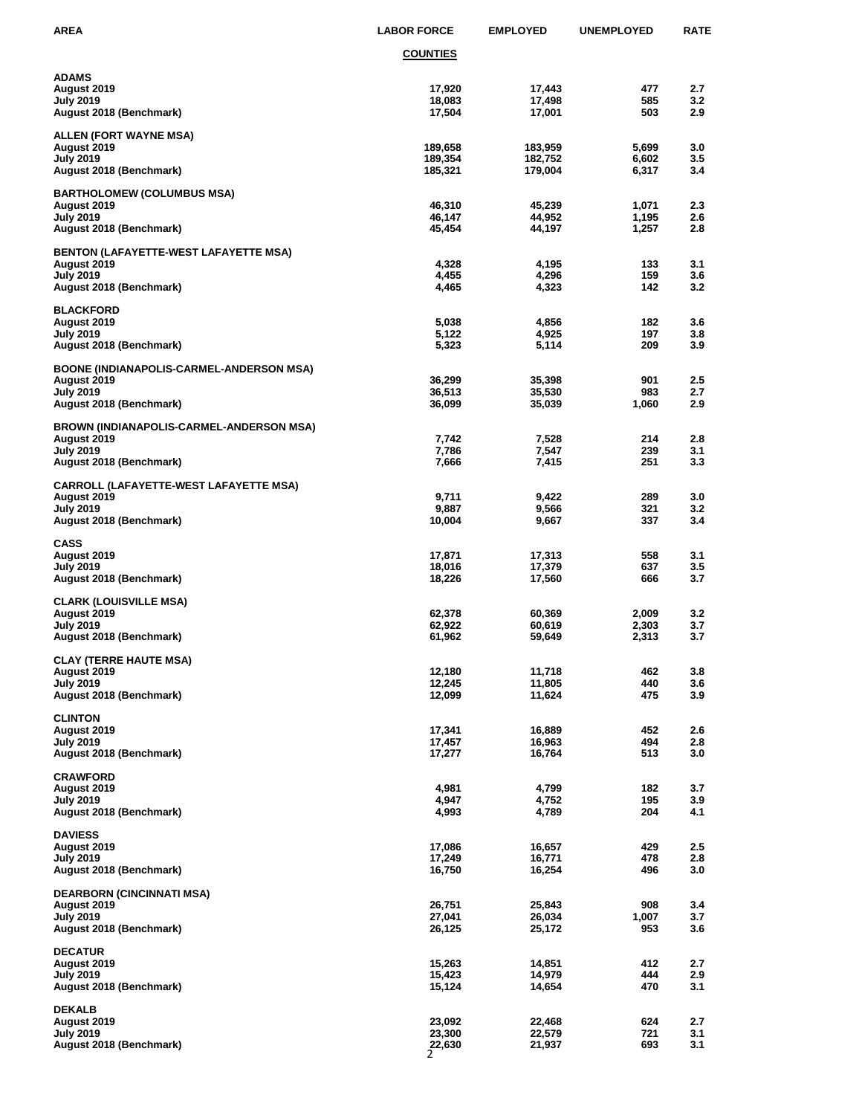| AREA                                                                                                          | <b>LABOR FORCE</b>              | <b>EMPLOYED</b>               | <b>UNEMPLOYED</b>       | RATE              |
|---------------------------------------------------------------------------------------------------------------|---------------------------------|-------------------------------|-------------------------|-------------------|
|                                                                                                               | <b>COUNTIES</b>                 |                               |                         |                   |
| <b>ADAMS</b><br>August 2019<br>July 2019<br>August 2018 (Benchmark)                                           | 17,920<br>18,083<br>17,504      | 17,443<br>17,498<br>17,001    | 477<br>585<br>503       | 2.7<br>3.2<br>2.9 |
| ALLEN (FORT WAYNE MSA)<br><b>August 2019</b><br><b>July 2019</b><br>August 2018 (Benchmark)                   | 189,658<br>189,354<br>185,321   | 183,959<br>182,752<br>179,004 | 5,699<br>6,602<br>6,317 | 3.0<br>3.5<br>3.4 |
| <b>BARTHOLOMEW (COLUMBUS MSA)</b><br>August 2019<br>July 2019<br>August 2018 (Benchmark)                      | 46,310<br>46,147<br>45,454      | 45,239<br>44,952<br>44,197    | 1,071<br>1,195<br>1,257 | 2.3<br>2.6<br>2.8 |
| <b>BENTON (LAFAYETTE-WEST LAFAYETTE MSA)</b><br>August 2019<br><b>July 2019</b><br>August 2018 (Benchmark)    | 4,328<br>4,455<br>4,465         | 4,195<br>4,296<br>4,323       | 133<br>159<br>142       | 3.1<br>3.6<br>3.2 |
| <b>BLACKFORD</b><br>August 2019<br>July 2019<br>August 2018 (Benchmark)                                       | 5,038<br>5,122<br>5,323         | 4,856<br>4,925<br>5,114       | 182<br>197<br>209       | 3.6<br>3.8<br>3.9 |
| <b>BOONE (INDIANAPOLIS-CARMEL-ANDERSON MSA)</b><br>August 2019<br>July 2019<br>August 2018 (Benchmark)        | 36,299<br>36,513<br>36,099      | 35,398<br>35,530<br>35,039    | 901<br>983<br>1,060     | 2.5<br>2.7<br>2.9 |
| <b>BROWN (INDIANAPOLIS-CARMEL-ANDERSON MSA)</b><br>August 2019<br><b>July 2019</b><br>August 2018 (Benchmark) | 7,742<br>7,786<br>7,666         | 7,528<br>7,547<br>7,415       | 214<br>239<br>251       | 2.8<br>3.1<br>3.3 |
| <b>CARROLL (LAFAYETTE-WEST LAFAYETTE MSA)</b><br>August 2019<br>July 2019<br>August 2018 (Benchmark)          | 9,711<br>9,887<br>10,004        | 9,422<br>9,566<br>9,667       | 289<br>321<br>337       | 3.0<br>3.2<br>3.4 |
| <b>CASS</b><br>August 2019<br><b>July 2019</b><br>August 2018 (Benchmark)                                     | 17,871<br>18,016<br>18,226      | 17,313<br>17,379<br>17,560    | 558<br>637<br>666       | 3.1<br>3.5<br>3.7 |
| <b>CLARK (LOUISVILLE MSA)</b><br>August 2019<br>July 2019<br>August 2018 (Benchmark)                          | 62,378<br>62,922<br>61,962      | 60,369<br>60,619<br>59,649    | 2,009<br>2,303<br>2,313 | 3.2<br>3.7<br>3.7 |
| <b>CLAY (TERRE HAUTE MSA)</b><br>August 2019<br><b>July 2019</b><br>August 2018 (Benchmark)                   | 12,180<br>12,245<br>12,099      | 11,718<br>11,805<br>11,624    | 462<br>440<br>475       | 3.8<br>3.6<br>3.9 |
| <b>CLINTON</b><br>August 2019<br>July 2019<br>August 2018 (Benchmark)                                         | 17,341<br>17,457<br>17,277      | 16,889<br>16,963<br>16,764    | 452<br>494<br>513       | 2.6<br>2.8<br>3.0 |
| <b>CRAWFORD</b><br>August 2019<br>July 2019<br>August 2018 (Benchmark)                                        | 4,981<br>4,947<br>4,993         | 4,799<br>4,752<br>4,789       | 182<br>195<br>204       | 3.7<br>3.9<br>4.1 |
| <b>DAVIESS</b><br>August 2019<br><b>July 2019</b><br>August 2018 (Benchmark)                                  | 17,086<br>17,249<br>16,750      | 16,657<br>16,771<br>16,254    | 429<br>478<br>496       | 2.5<br>2.8<br>3.0 |
| <b>DEARBORN (CINCINNATI MSA)</b><br>August 2019<br><b>July 2019</b><br>August 2018 (Benchmark)                | 26,751<br>27,041<br>26,125      | 25,843<br>26,034<br>25,172    | 908<br>1,007<br>953     | 3.4<br>3.7<br>3.6 |
| <b>DECATUR</b><br>August 2019<br><b>July 2019</b><br>August 2018 (Benchmark)                                  | 15,263<br>15,423<br>15,124      | 14,851<br>14,979<br>14,654    | 412<br>444<br>470       | 2.7<br>2.9<br>3.1 |
| <b>DEKALB</b><br>August 2019<br><b>July 2019</b><br>August 2018 (Benchmark)                                   | 23,092<br>23,300<br>22,630<br>2 | 22,468<br>22,579<br>21,937    | 624<br>721<br>693       | 2.7<br>3.1<br>3.1 |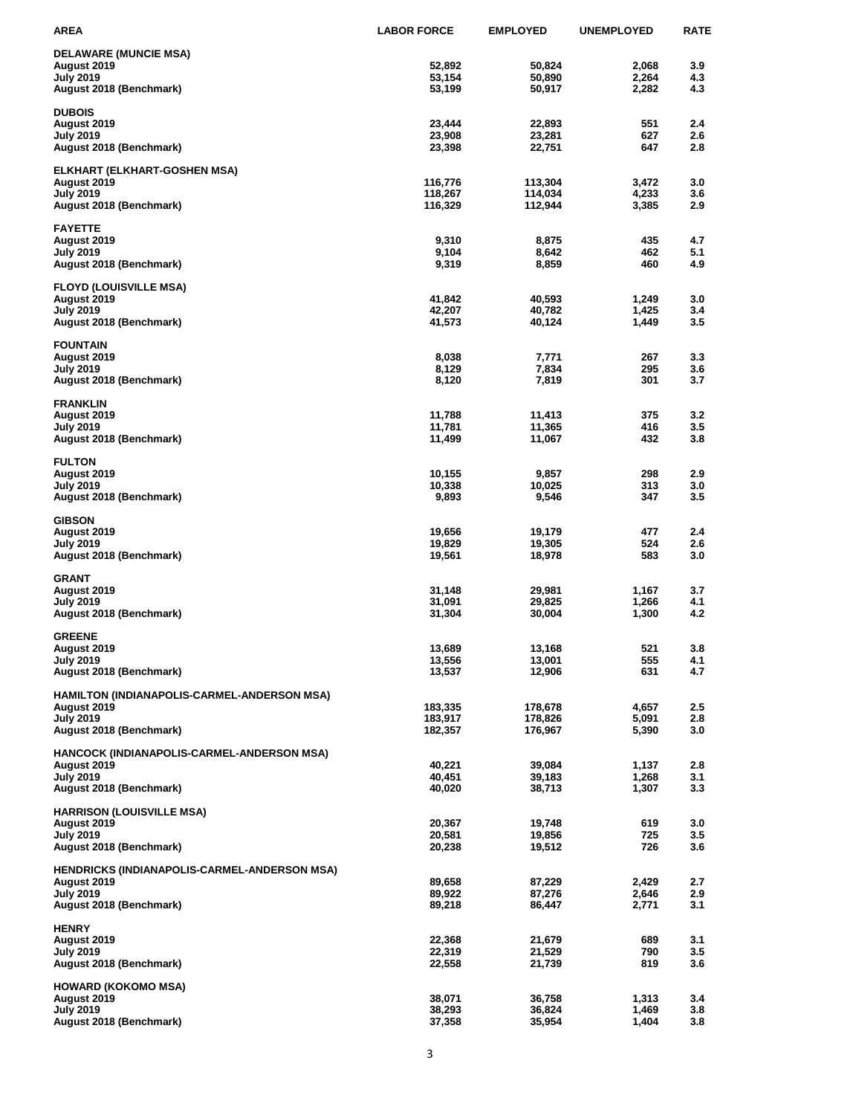| AREA                                                      | <b>LABOR FORCE</b> | <b>EMPLOYED</b>    | <b>UNEMPLOYED</b> | <b>RATE</b> |
|-----------------------------------------------------------|--------------------|--------------------|-------------------|-------------|
| <b>DELAWARE (MUNCIE MSA)</b>                              |                    |                    |                   |             |
| August 2019                                               | 52,892             | 50,824             | 2,068             | 3.9         |
| <b>July 2019</b>                                          | 53,154             | 50,890             | 2,264             | 4.3         |
| August 2018 (Benchmark)                                   | 53,199             | 50,917             | 2,282             | 4.3         |
| <b>DUBOIS</b>                                             |                    |                    |                   |             |
| August 2019                                               | 23.444             | 22,893             | 551               | 2.4         |
| July 2019                                                 | 23,908             | 23,281             | 627               | 2.6         |
| August 2018 (Benchmark)                                   | 23,398             | 22,751             | 647               | 2.8         |
| ELKHART (ELKHART-GOSHEN MSA)                              |                    |                    |                   |             |
| August 2019                                               | 116,776            | 113,304            | 3,472             | 3.0         |
| <b>July 2019</b>                                          | 118,267            | 114,034            | 4,233             | 3.6         |
| August 2018 (Benchmark)                                   | 116,329            | 112,944            | 3,385             | 2.9         |
| <b>FAYETTE</b>                                            |                    |                    |                   |             |
| August 2019                                               | 9,310              | 8,875              | 435               | 4.7         |
| July 2019                                                 | 9,104              | 8,642              | 462               | 5.1         |
| August 2018 (Benchmark)                                   | 9,319              | 8,859              | 460               | 4.9         |
| <b>FLOYD (LOUISVILLE MSA)</b>                             |                    |                    |                   |             |
| August 2019                                               | 41,842             | 40,593             | 1,249             | 3.0         |
| July 2019                                                 | 42,207             | 40,782             | 1,425             | 3.4         |
| August 2018 (Benchmark)                                   | 41,573             | 40,124             | 1,449             | 3.5         |
| <b>FOUNTAIN</b>                                           |                    |                    |                   |             |
| August 2019                                               | 8,038              | 7,771              | 267               | 3.3         |
| <b>July 2019</b>                                          | 8,129              | 7,834              | 295               | 3.6         |
| August 2018 (Benchmark)                                   | 8,120              | 7,819              | 301               | 3.7         |
| <b>FRANKLIN</b>                                           |                    |                    |                   |             |
| August 2019                                               | 11,788             | 11,413             | 375               | 3.2         |
| July 2019                                                 | 11,781             | 11,365             | 416<br>432        | 3.5<br>3.8  |
| August 2018 (Benchmark)                                   | 11,499             | 11,067             |                   |             |
| <b>FULTON</b>                                             |                    |                    |                   |             |
| August 2019                                               | 10,155             | 9,857              | 298               | 2.9         |
| July 2019                                                 | 10,338             | 10,025<br>9,546    | 313<br>347        | 3.0<br>3.5  |
| August 2018 (Benchmark)                                   | 9,893              |                    |                   |             |
| <b>GIBSON</b>                                             |                    |                    |                   |             |
| August 2019                                               | 19,656             | 19,179             | 477               | 2.4         |
| July 2019<br>August 2018 (Benchmark)                      | 19,829<br>19,561   | 19,305<br>18,978   | 524<br>583        | 2.6<br>3.0  |
|                                                           |                    |                    |                   |             |
| <b>GRANT</b>                                              |                    |                    |                   |             |
| August 2019<br><b>July 2019</b>                           | 31,148<br>31,091   | 29,981<br>29,825   | 1,167<br>1,266    | 3.7<br>4.1  |
| August 2018 (Benchmark)                                   | 31,304             | 30,004             | 1,300             | 4.2         |
|                                                           |                    |                    |                   |             |
| <b>GREENE</b>                                             |                    |                    |                   |             |
| August 2019                                               | 13,689             | 13,168<br>13,001   | 521               | 3.8<br>4.1  |
| July 2019<br>August 2018 (Benchmark)                      | 13,556<br>13,537   | 12,906             | 555<br>631        | 4.7         |
|                                                           |                    |                    |                   |             |
| HAMILTON (INDIANAPOLIS-CARMEL-ANDERSON MSA)               | 183,335            |                    |                   |             |
| August 2019<br><b>July 2019</b>                           | 183,917            | 178,678<br>178,826 | 4,657<br>5,091    | 2.5<br>2.8  |
| August 2018 (Benchmark)                                   | 182,357            | 176,967            | 5,390             | 3.0         |
|                                                           |                    |                    |                   |             |
| HANCOCK (INDIANAPOLIS-CARMEL-ANDERSON MSA)<br>August 2019 | 40,221             | 39,084             | 1,137             | 2.8         |
| <b>July 2019</b>                                          | 40,451             | 39,183             | 1,268             | 3.1         |
| August 2018 (Benchmark)                                   | 40,020             | 38,713             | 1,307             | 3.3         |
|                                                           |                    |                    |                   |             |
| <b>HARRISON (LOUISVILLE MSA)</b><br>August 2019           | 20,367             | 19,748             | 619               | 3.0         |
| <b>July 2019</b>                                          | 20,581             | 19,856             | 725               | 3.5         |
| August 2018 (Benchmark)                                   | 20,238             | 19,512             | 726               | 3.6         |
| HENDRICKS (INDIANAPOLIS-CARMEL-ANDERSON MSA)              |                    |                    |                   |             |
| August 2019                                               | 89,658             | 87,229             | 2,429             | 2.7         |
| <b>July 2019</b>                                          | 89,922             | 87,276             | 2,646             | 2.9         |
| August 2018 (Benchmark)                                   | 89,218             | 86,447             | 2,771             | 3.1         |
| <b>HENRY</b>                                              |                    |                    |                   |             |
| August 2019                                               | 22,368             | 21,679             | 689               | 3.1         |
| <b>July 2019</b>                                          | 22,319             | 21,529             | 790               | 3.5         |
| August 2018 (Benchmark)                                   | 22,558             | 21,739             | 819               | 3.6         |
| <b>HOWARD (KOKOMO MSA)</b>                                |                    |                    |                   |             |
| August 2019                                               | 38,071             | 36,758             | 1,313             | 3.4         |
| <b>July 2019</b>                                          | 38,293             | 36,824             | 1,469             | 3.8         |
| August 2018 (Benchmark)                                   | 37,358             | 35,954             | 1,404             | 3.8         |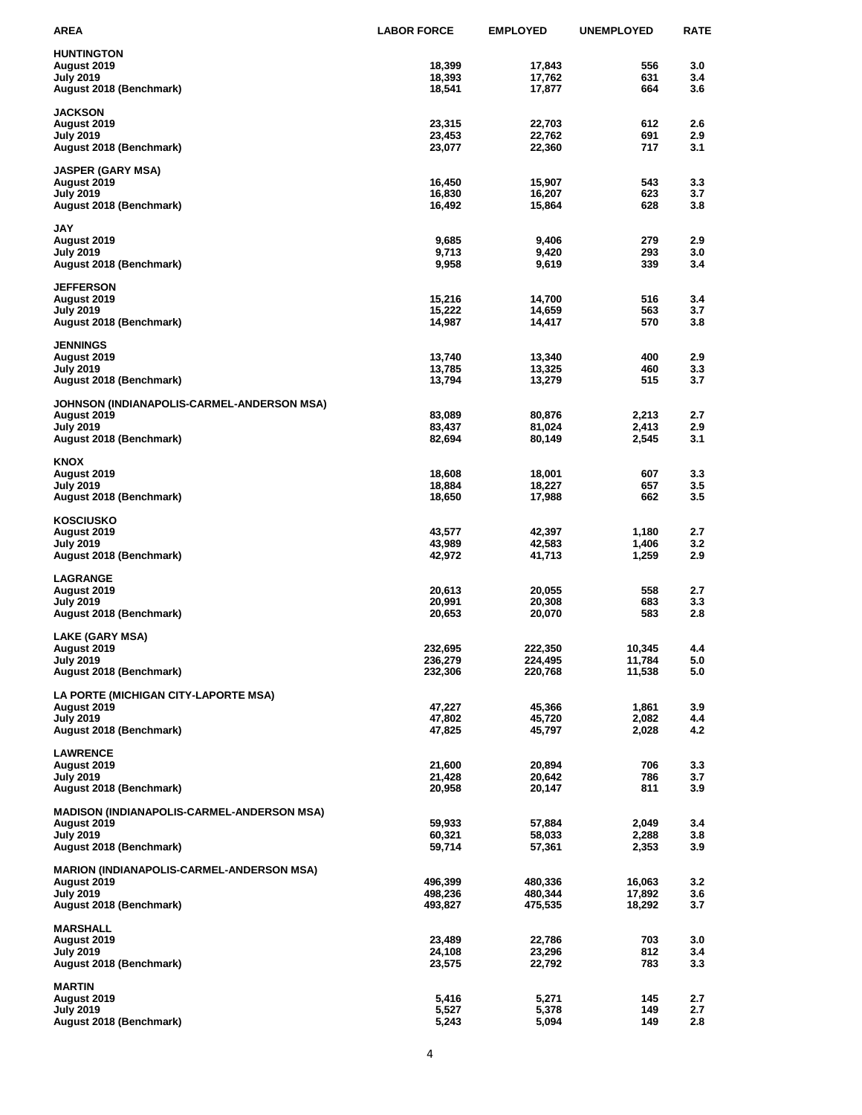| AREA                                              | <b>LABOR FORCE</b> | <b>EMPLOYED</b>  | <b>UNEMPLOYED</b> | <b>RATE</b> |
|---------------------------------------------------|--------------------|------------------|-------------------|-------------|
| <b>HUNTINGTON</b>                                 |                    |                  |                   |             |
| August 2019                                       | 18,399             | 17,843           | 556               | 3.0         |
| July 2019                                         | 18,393             | 17,762           | 631               | 3.4         |
| August 2018 (Benchmark)                           | 18,541             | 17,877           | 664               | 3.6         |
| <b>JACKSON</b>                                    |                    |                  |                   |             |
| August 2019                                       | 23,315             | 22,703           | 612               | 2.6         |
| <b>July 2019</b>                                  | 23,453             | 22,762           | 691               | 2.9         |
| August 2018 (Benchmark)                           | 23,077             | 22,360           | 717               | 3.1         |
|                                                   |                    |                  |                   |             |
| <b>JASPER (GARY MSA)</b>                          |                    |                  |                   |             |
| August 2019                                       | 16,450             | 15,907           | 543               | 3.3         |
| <b>July 2019</b>                                  | 16,830<br>16,492   | 16,207<br>15,864 | 623<br>628        | 3.7<br>3.8  |
| August 2018 (Benchmark)                           |                    |                  |                   |             |
| JAY                                               |                    |                  |                   |             |
| August 2019                                       | 9,685              | 9,406            | 279               | 2.9         |
| July 2019                                         | 9,713              | 9,420            | 293               | 3.0         |
| August 2018 (Benchmark)                           | 9,958              | 9,619            | 339               | 3.4         |
|                                                   |                    |                  |                   |             |
| <b>JEFFERSON</b><br>August 2019                   | 15,216             | 14,700           | 516               | 3.4         |
| July 2019                                         | 15,222             | 14,659           | 563               | 3.7         |
| August 2018 (Benchmark)                           | 14,987             | 14,417           | 570               | 3.8         |
|                                                   |                    |                  |                   |             |
| <b>JENNINGS</b>                                   |                    |                  |                   |             |
| August 2019                                       | 13,740             | 13,340           | 400               | 2.9         |
| July 2019                                         | 13,785             | 13,325           | 460               | 3.3         |
| August 2018 (Benchmark)                           | 13,794             | 13,279           | 515               | 3.7         |
| JOHNSON (INDIANAPOLIS-CARMEL-ANDERSON MSA)        |                    |                  |                   |             |
| August 2019                                       | 83,089             | 80,876           | 2,213             | 2.7         |
| July 2019                                         | 83,437             | 81,024           | 2,413             | 2.9         |
| August 2018 (Benchmark)                           | 82,694             | 80,149           | 2,545             | 3.1         |
|                                                   |                    |                  |                   |             |
| <b>KNOX</b>                                       |                    |                  |                   |             |
| August 2019                                       | 18,608             | 18,001           | 607               | 3.3         |
| <b>July 2019</b>                                  | 18,884             | 18,227           | 657<br>662        | 3.5<br>3.5  |
| August 2018 (Benchmark)                           | 18,650             | 17,988           |                   |             |
| <b>KOSCIUSKO</b>                                  |                    |                  |                   |             |
| August 2019                                       | 43,577             | 42,397           | 1,180             | 2.7         |
| July 2019                                         | 43,989             | 42,583           | 1,406             | 3.2         |
| August 2018 (Benchmark)                           | 42,972             | 41,713           | 1,259             | 2.9         |
|                                                   |                    |                  |                   |             |
| <b>LAGRANGE</b><br>August 2019                    | 20,613             | 20,055           | 558               | 2.7         |
| <b>July 2019</b>                                  | 20,991             | 20,308           | 683               | 3.3         |
| August 2018 (Benchmark)                           | 20,653             | 20,070           | 583               | 2.8         |
|                                                   |                    |                  |                   |             |
| LAKE (GARY MSA)                                   |                    |                  |                   |             |
| August 2019                                       | 232,695            | 222,350          | 10,345            | 4.4         |
| <b>July 2019</b>                                  | 236,279            | 224,495          | 11,784            | 5.0         |
| August 2018 (Benchmark)                           | 232,306            | 220,768          | 11,538            | 5.0         |
| LA PORTE (MICHIGAN CITY-LAPORTE MSA)              |                    |                  |                   |             |
| August 2019                                       | 47,227             | 45,366           | 1,861             | 3.9         |
| <b>July 2019</b>                                  | 47,802             | 45,720           | 2,082             | 4.4         |
| August 2018 (Benchmark)                           | 47,825             | 45,797           | 2,028             | 4.2         |
|                                                   |                    |                  |                   |             |
| <b>LAWRENCE</b>                                   |                    |                  |                   |             |
| August 2019<br><b>July 2019</b>                   | 21,600<br>21,428   | 20,894<br>20,642 | 706<br>786        | 3.3<br>3.7  |
| August 2018 (Benchmark)                           | 20,958             | 20,147           | 811               | 3.9         |
|                                                   |                    |                  |                   |             |
| <b>MADISON (INDIANAPOLIS-CARMEL-ANDERSON MSA)</b> |                    |                  |                   |             |
| August 2019                                       | 59,933             | 57,884           | 2,049             | 3.4         |
| <b>July 2019</b>                                  | 60,321             | 58,033           | 2,288             | 3.8         |
| August 2018 (Benchmark)                           | 59,714             | 57,361           | 2,353             | 3.9         |
| <b>MARION (INDIANAPOLIS-CARMEL-ANDERSON MSA)</b>  |                    |                  |                   |             |
| August 2019                                       | 496,399            | 480,336          | 16,063            | 3.2         |
| <b>July 2019</b>                                  | 498,236            | 480,344          | 17,892            | 3.6         |
| August 2018 (Benchmark)                           | 493,827            | 475,535          | 18,292            | 3.7         |
|                                                   |                    |                  |                   |             |
| <b>MARSHALL</b>                                   |                    |                  |                   |             |
| August 2019                                       | 23,489             | 22,786           | 703               | 3.0         |
| <b>July 2019</b>                                  | 24,108             | 23,296           | 812<br>783        | 3.4<br>3.3  |
| August 2018 (Benchmark)                           | 23,575             | 22,792           |                   |             |
| <b>MARTIN</b>                                     |                    |                  |                   |             |
| August 2019                                       | 5,416              | 5,271            | 145               | 2.7         |
| <b>July 2019</b>                                  | 5,527              | 5,378            | 149               | 2.7         |
| August 2018 (Benchmark)                           | 5,243              | 5,094            | 149               | 2.8         |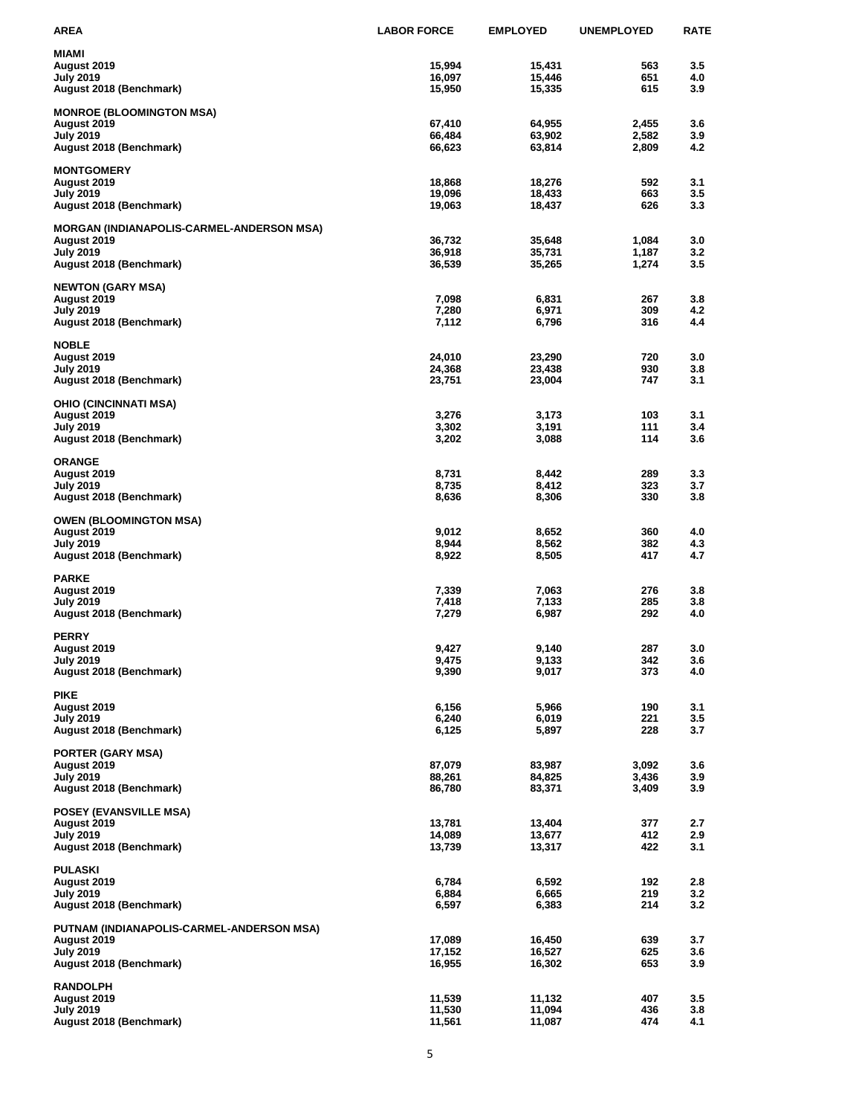| AREA                                      | <b>LABOR FORCE</b> | <b>EMPLOYED</b>  | <b>UNEMPLOYED</b> | <b>RATE</b> |
|-------------------------------------------|--------------------|------------------|-------------------|-------------|
| MIAMI                                     |                    |                  |                   |             |
| August 2019                               | 15,994             | 15,431           | 563               | 3.5         |
| <b>July 2019</b>                          | 16,097             | 15,446           | 651               | 4.0         |
| August 2018 (Benchmark)                   | 15,950             | 15,335           | 615               | 3.9         |
| <b>MONROE (BLOOMINGTON MSA)</b>           |                    |                  |                   |             |
| August 2019                               | 67,410             | 64,955           | 2,455             | 3.6         |
| July 2019                                 | 66,484<br>66,623   | 63,902           | 2,582<br>2,809    | 3.9<br>4.2  |
| August 2018 (Benchmark)                   |                    | 63,814           |                   |             |
| <b>MONTGOMERY</b>                         |                    |                  |                   |             |
| August 2019                               | 18,868             | 18,276           | 592               | 3.1         |
| July 2019<br>August 2018 (Benchmark)      | 19,096<br>19,063   | 18,433<br>18,437 | 663<br>626        | 3.5<br>3.3  |
|                                           |                    |                  |                   |             |
| MORGAN (INDIANAPOLIS-CARMEL-ANDERSON MSA) |                    |                  |                   |             |
| August 2019                               | 36,732             | 35,648           | 1,084             | 3.0<br>3.2  |
| July 2019<br>August 2018 (Benchmark)      | 36,918<br>36,539   | 35,731<br>35,265 | 1,187<br>1,274    | 3.5         |
|                                           |                    |                  |                   |             |
| <b>NEWTON (GARY MSA)</b>                  |                    |                  |                   |             |
| August 2019<br>July 2019                  | 7,098<br>7,280     | 6,831<br>6,971   | 267<br>309        | 3.8<br>4.2  |
| August 2018 (Benchmark)                   | 7,112              | 6,796            | 316               | 4.4         |
|                                           |                    |                  |                   |             |
| <b>NOBLE</b>                              |                    |                  |                   |             |
| August 2019<br>July 2019                  | 24,010<br>24,368   | 23,290<br>23,438 | 720<br>930        | 3.0<br>3.8  |
| August 2018 (Benchmark)                   | 23,751             | 23,004           | 747               | 3.1         |
|                                           |                    |                  |                   |             |
| OHIO (CINCINNATI MSA)                     |                    |                  | 103               | 3.1         |
| August 2019<br>July 2019                  | 3,276<br>3,302     | 3,173<br>3,191   | 111               | 3.4         |
| August 2018 (Benchmark)                   | 3,202              | 3,088            | 114               | 3.6         |
|                                           |                    |                  |                   |             |
| ORANGE                                    | 8,731              | 8,442            | 289               | 3.3         |
| August 2019<br>July 2019                  | 8,735              | 8,412            | 323               | 3.7         |
| August 2018 (Benchmark)                   | 8,636              | 8,306            | 330               | 3.8         |
|                                           |                    |                  |                   |             |
| OWEN (BLOOMINGTON MSA)<br>August 2019     | 9,012              | 8,652            | 360               | 4.0         |
| July 2019                                 | 8,944              | 8,562            | 382               | 4.3         |
| August 2018 (Benchmark)                   | 8,922              | 8,505            | 417               | 4.7         |
| PARKE                                     |                    |                  |                   |             |
| August 2019                               | 7,339              | 7,063            | 276               | 3.8         |
| July 2019                                 | 7,418              | 7,133            | 285               | 3.8         |
| August 2018 (Benchmark)                   | 7,279              | 6,987            | 292               | 4.0         |
| PERRY                                     |                    |                  |                   |             |
| August 2019                               | 9,427              | 9,140            | 287               | 3.0         |
| July 2019                                 | 9,475              | 9,133            | 342               | 3.6         |
| August 2018 (Benchmark)                   | 9,390              | 9,017            | 373               | 4.0         |
| PIKE                                      |                    |                  |                   |             |
| August 2019                               | 6,156              | 5,966            | 190               | 3.1         |
| <b>July 2019</b>                          | 6,240              | 6,019            | 221               | 3.5         |
| August 2018 (Benchmark)                   | 6,125              | 5,897            | 228               | 3.7         |
| PORTER (GARY MSA)                         |                    |                  |                   |             |
| August 2019                               | 87,079             | 83,987           | 3,092             | 3.6         |
| July 2019                                 | 88,261             | 84,825           | 3,436             | 3.9         |
| August 2018 (Benchmark)                   | 86,780             | 83,371           | 3,409             | 3.9         |
| <b>POSEY (EVANSVILLE MSA)</b>             |                    |                  |                   |             |
| August 2019                               | 13,781             | 13,404           | 377               | 2.7         |
| July 2019                                 | 14,089<br>13,739   | 13,677           | 412<br>422        | 2.9<br>3.1  |
| August 2018 (Benchmark)                   |                    | 13,317           |                   |             |
| PULASKI                                   |                    |                  |                   |             |
| August 2019                               | 6,784              | 6,592            | 192               | 2.8         |
| July 2019<br>August 2018 (Benchmark)      | 6,884<br>6,597     | 6,665<br>6,383   | 219<br>214        | 3.2<br>3.2  |
|                                           |                    |                  |                   |             |
| PUTNAM (INDIANAPOLIS-CARMEL-ANDERSON MSA) |                    |                  |                   |             |
| August 2019<br><b>July 2019</b>           | 17,089<br>17,152   | 16,450<br>16,527 | 639<br>625        | 3.7<br>3.6  |
| August 2018 (Benchmark)                   | 16,955             | 16,302           | 653               | 3.9         |
|                                           |                    |                  |                   |             |
| <b>RANDOLPH</b>                           |                    |                  |                   |             |
| August 2019<br>July 2019                  | 11,539<br>11,530   | 11,132<br>11,094 | 407<br>436        | 3.5<br>3.8  |
| August 2018 (Benchmark)                   | 11,561             | 11,087           | 474               | 4.1         |
|                                           |                    |                  |                   |             |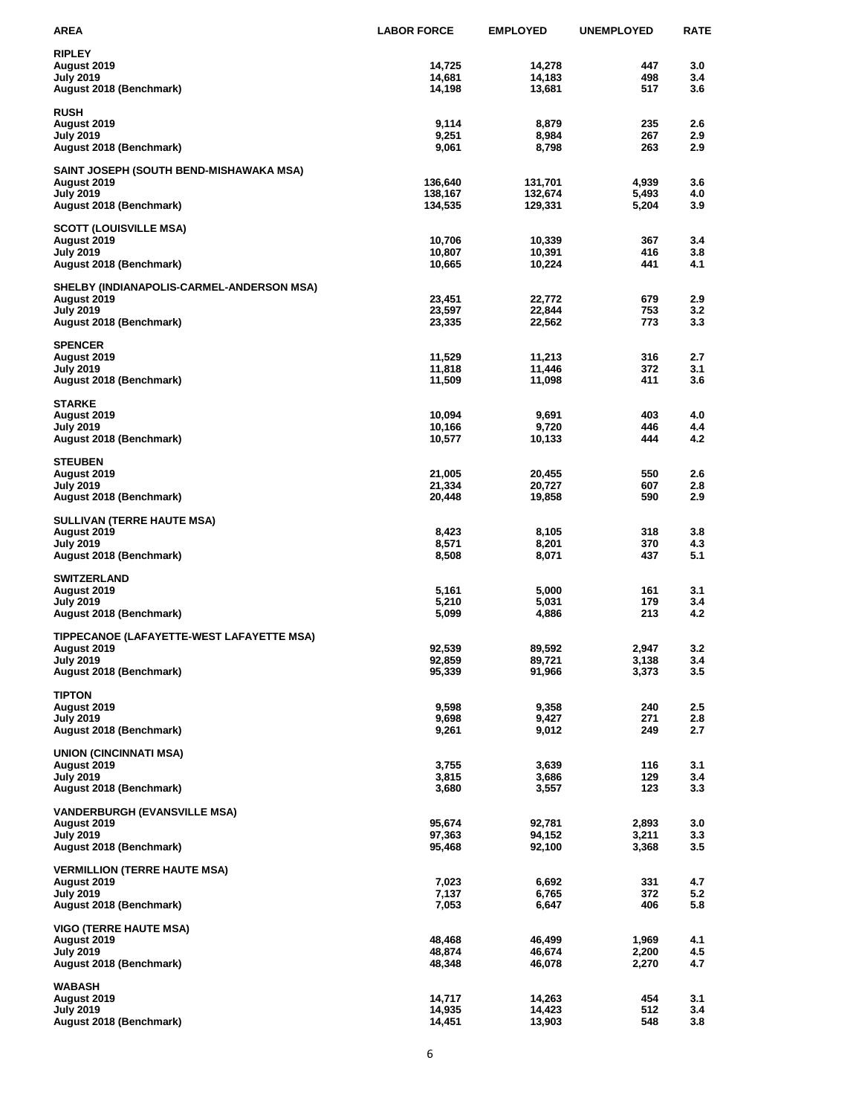| AREA                                                     | <b>LABOR FORCE</b> | <b>EMPLOYED</b>    | <b>UNEMPLOYED</b> | <b>RATE</b> |
|----------------------------------------------------------|--------------------|--------------------|-------------------|-------------|
| <b>RIPLEY</b>                                            |                    |                    |                   |             |
| August 2019                                              | 14,725             | 14,278             | 447               | 3.0         |
| July 2019                                                | 14,681             | 14,183             | 498               | 3.4         |
| August 2018 (Benchmark)                                  | 14,198             | 13,681             | 517               | 3.6         |
| <b>RUSH</b>                                              |                    |                    |                   |             |
| August 2019                                              | 9,114              | 8,879              | 235               | 2.6         |
| July 2019                                                | 9,251              | 8,984              | 267<br>263        | 2.9<br>2.9  |
| August 2018 (Benchmark)                                  | 9,061              | 8,798              |                   |             |
| SAINT JOSEPH (SOUTH BEND-MISHAWAKA MSA)                  |                    |                    |                   |             |
| August 2019<br><b>July 2019</b>                          | 136,640<br>138,167 | 131,701<br>132,674 | 4,939<br>5,493    | 3.6<br>4.0  |
| August 2018 (Benchmark)                                  | 134,535            | 129,331            | 5,204             | 3.9         |
|                                                          |                    |                    |                   |             |
| SCOTT (LOUISVILLE MSA)<br>August 2019                    | 10,706             | 10,339             | 367               | 3.4         |
| July 2019                                                | 10,807             | 10,391             | 416               | 3.8         |
| August 2018 (Benchmark)                                  | 10,665             | 10,224             | 441               | 4.1         |
| SHELBY (INDIANAPOLIS-CARMEL-ANDERSON MSA)                |                    |                    |                   |             |
| August 2019                                              | 23,451             | 22,772             | 679               | 2.9         |
| <b>July 2019</b>                                         | 23,597             | 22,844             | 753               | 3.2         |
| August 2018 (Benchmark)                                  | 23,335             | 22,562             | 773               | 3.3         |
| <b>SPENCER</b>                                           |                    |                    |                   |             |
| August 2019<br>July 2019                                 | 11,529<br>11,818   | 11,213<br>11,446   | 316<br>372        | 2.7<br>3.1  |
| August 2018 (Benchmark)                                  | 11,509             | 11,098             | 411               | 3.6         |
|                                                          |                    |                    |                   |             |
| <b>STARKE</b>                                            |                    |                    |                   |             |
| August 2019<br>July 2019                                 | 10,094<br>10,166   | 9,691<br>9,720     | 403<br>446        | 4.0<br>4.4  |
| August 2018 (Benchmark)                                  | 10,577             | 10,133             | 444               | 4.2         |
| <b>STEUBEN</b>                                           |                    |                    |                   |             |
| August 2019                                              | 21,005             | 20,455             | 550               | 2.6         |
| <b>July 2019</b>                                         | 21,334             | 20,727             | 607               | 2.8         |
| August 2018 (Benchmark)                                  | 20,448             | 19,858             | 590               | 2.9         |
| SULLIVAN (TERRE HAUTE MSA)                               |                    |                    |                   |             |
| August 2019                                              | 8,423              | 8,105              | 318               | 3.8         |
| July 2019                                                | 8,571              | 8,201              | 370               | 4.3         |
| August 2018 (Benchmark)                                  | 8,508              | 8,071              | 437               | 5.1         |
| <b>SWITZERLAND</b>                                       |                    |                    |                   |             |
| August 2019                                              | 5,161              | 5,000              | 161<br>179        | 3.1<br>3.4  |
| <b>July 2019</b><br>August 2018 (Benchmark)              | 5,210<br>5,099     | 5,031<br>4,886     | 213               | 4.2         |
|                                                          |                    |                    |                   |             |
| TIPPECANOE (LAFAYETTE-WEST LAFAYETTE MSA)<br>August 2019 | 92,539             | 89.592             | 2,947             | 3.2         |
| July 2019                                                | 92,859             | 89,721             | 3,138             | 3.4         |
| August 2018 (Benchmark)                                  | 95,339             | 91,966             | 3,373             | 3.5         |
| <b>TIPTON</b>                                            |                    |                    |                   |             |
| August 2019                                              | 9,598              | 9,358              | 240               | 2.5         |
| July 2019                                                | 9,698              | 9,427              | 271               | 2.8         |
| August 2018 (Benchmark)                                  | 9,261              | 9,012              | 249               | 2.7         |
| UNION (CINCINNATI MSA)                                   |                    |                    |                   |             |
| August 2019                                              | 3,755              | 3,639              | 116               | 3.1         |
| <b>July 2019</b><br>August 2018 (Benchmark)              | 3,815<br>3,680     | 3,686<br>3,557     | 129<br>123        | 3.4<br>3.3  |
|                                                          |                    |                    |                   |             |
| <b>VANDERBURGH (EVANSVILLE MSA)</b>                      |                    |                    |                   |             |
| August 2019<br><b>July 2019</b>                          | 95,674<br>97,363   | 92,781<br>94,152   | 2,893<br>3,211    | 3.0<br>3.3  |
| August 2018 (Benchmark)                                  | 95,468             | 92,100             | 3,368             | 3.5         |
|                                                          |                    |                    |                   |             |
| <b>VERMILLION (TERRE HAUTE MSA)</b><br>August 2019       | 7,023              | 6,692              | 331               | 4.7         |
| <b>July 2019</b>                                         | 7,137              | 6,765              | 372               | 5.2         |
| August 2018 (Benchmark)                                  | 7,053              | 6,647              | 406               | 5.8         |
| <b>VIGO (TERRE HAUTE MSA)</b>                            |                    |                    |                   |             |
| August 2019                                              | 48,468             | 46,499             | 1,969             | 4.1         |
| <b>July 2019</b>                                         | 48,874             | 46,674             | 2,200             | 4.5         |
| August 2018 (Benchmark)                                  | 48,348             | 46,078             | 2,270             | 4.7         |
| WABASH                                                   |                    |                    |                   |             |
| August 2019<br>July 2019                                 | 14,717<br>14,935   | 14,263<br>14,423   | 454<br>512        | 3.1<br>3.4  |
| August 2018 (Benchmark)                                  | 14,451             | 13,903             | 548               | 3.8         |
|                                                          |                    |                    |                   |             |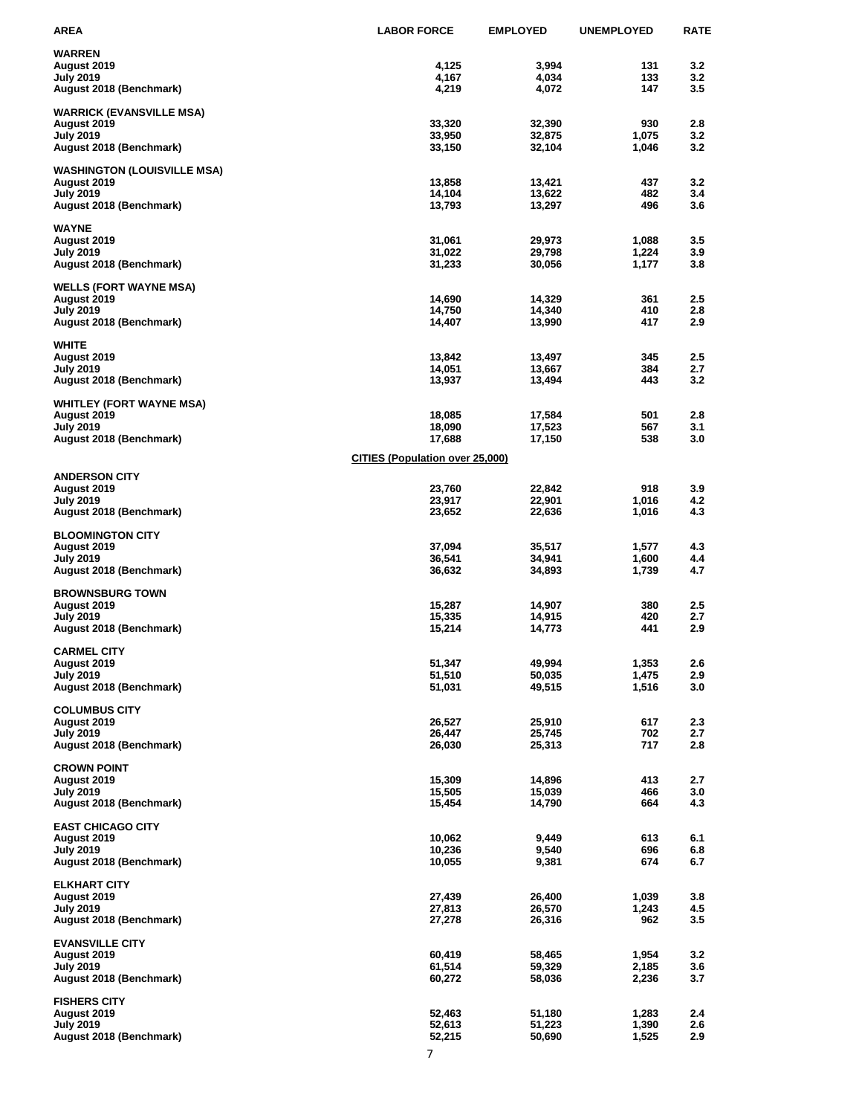| AREA                                        | <b>LABOR FORCE</b>              | <b>EMPLOYED</b>  | <b>UNEMPLOYED</b> | <b>RATE</b> |
|---------------------------------------------|---------------------------------|------------------|-------------------|-------------|
| <b>WARREN</b>                               |                                 |                  |                   |             |
| August 2019                                 | 4,125                           | 3,994            | 131               | 3.2         |
| July 2019                                   | 4,167                           | 4,034            | 133               | 3.2         |
| August 2018 (Benchmark)                     | 4,219                           | 4,072            | 147               | 3.5         |
| <b>WARRICK (EVANSVILLE MSA)</b>             |                                 |                  |                   |             |
| August 2019                                 | 33,320                          | 32,390           | 930               | 2.8         |
| <b>July 2019</b>                            | 33,950                          | 32,875           | 1,075             | 3.2         |
| August 2018 (Benchmark)                     | 33,150                          | 32,104           | 1,046             | 3.2         |
| <b>WASHINGTON (LOUISVILLE MSA)</b>          |                                 |                  |                   |             |
| August 2019                                 | 13,858                          | 13,421           | 437               | 3.2         |
| <b>July 2019</b>                            | 14,104                          | 13,622           | 482<br>496        | 3.4<br>3.6  |
| August 2018 (Benchmark)                     | 13,793                          | 13,297           |                   |             |
| WAYNE                                       |                                 |                  |                   |             |
| August 2019                                 | 31,061                          | 29,973           | 1,088             | 3.5         |
| July 2019<br>August 2018 (Benchmark)        | 31,022<br>31,233                | 29,798<br>30,056 | 1,224<br>1,177    | 3.9<br>3.8  |
|                                             |                                 |                  |                   |             |
| <b>WELLS (FORT WAYNE MSA)</b>               |                                 |                  |                   |             |
| August 2019                                 | 14,690                          | 14,329           | 361               | $2.5\,$     |
| <b>July 2019</b><br>August 2018 (Benchmark) | 14,750<br>14,407                | 14,340<br>13,990 | 410<br>417        | 2.8<br>2.9  |
|                                             |                                 |                  |                   |             |
| WHITE                                       |                                 |                  |                   |             |
| August 2019                                 | 13,842                          | 13,497           | 345               | $2.5\,$     |
| July 2019<br>August 2018 (Benchmark)        | 14,051<br>13,937                | 13,667<br>13,494 | 384<br>443        | 2.7<br>3.2  |
|                                             |                                 |                  |                   |             |
| <b>WHITLEY (FORT WAYNE MSA)</b>             |                                 |                  |                   |             |
| August 2019                                 | 18,085                          | 17,584           | 501<br>567        | 2.8<br>3.1  |
| July 2019<br>August 2018 (Benchmark)        | 18,090<br>17,688                | 17,523<br>17,150 | 538               | 3.0         |
|                                             |                                 |                  |                   |             |
|                                             | CITIES (Population over 25,000) |                  |                   |             |
| <b>ANDERSON CITY</b>                        |                                 |                  |                   |             |
| August 2019                                 | 23,760                          | 22,842<br>22,901 | 918<br>1,016      | 3.9<br>4.2  |
| <b>July 2019</b><br>August 2018 (Benchmark) | 23,917<br>23,652                | 22,636           | 1,016             | 4.3         |
|                                             |                                 |                  |                   |             |
| <b>BLOOMINGTON CITY</b>                     |                                 |                  |                   |             |
| August 2019<br>July 2019                    | 37,094<br>36,541                | 35,517<br>34,941 | 1,577<br>1,600    | 4.3<br>4.4  |
| August 2018 (Benchmark)                     | 36,632                          | 34,893           | 1,739             | 4.7         |
|                                             |                                 |                  |                   |             |
| <b>BROWNSBURG TOWN</b>                      |                                 |                  | 380               | 2.5         |
| August 2019<br><b>July 2019</b>             | 15,287<br>15,335                | 14,907<br>14,915 | 420               | 2.7         |
| August 2018 (Benchmark)                     | 15,214                          | 14,773           | 441               | 2.9         |
|                                             |                                 |                  |                   |             |
| <b>CARMEL CITY</b><br>August 2019           | 51,347                          | 49,994           | 1,353             | 2.6         |
| <b>July 2019</b>                            | 51,510                          | 50,035           | 1,475             | 2.9         |
| August 2018 (Benchmark)                     | 51,031                          | 49,515           | 1,516             | 3.0         |
|                                             |                                 |                  |                   |             |
| <b>COLUMBUS CITY</b><br>August 2019         | 26,527                          | 25,910           | 617               | 2.3         |
| July 2019                                   | 26,447                          | 25,745           | 702               | 2.7         |
| August 2018 (Benchmark)                     | 26,030                          | 25,313           | 717               | 2.8         |
|                                             |                                 |                  |                   |             |
| <b>CROWN POINT</b><br>August 2019           | 15,309                          | 14,896           | 413               | 2.7         |
| <b>July 2019</b>                            | 15,505                          | 15,039           | 466               | 3.0         |
| August 2018 (Benchmark)                     | 15,454                          | 14,790           | 664               | 4.3         |
| <b>EAST CHICAGO CITY</b>                    |                                 |                  |                   |             |
| August 2019                                 | 10,062                          | 9,449            | 613               | 6.1         |
| July 2019                                   | 10,236                          | 9,540            | 696               | 6.8         |
| August 2018 (Benchmark)                     | 10,055                          | 9,381            | 674               | 6.7         |
| <b>ELKHART CITY</b>                         |                                 |                  |                   |             |
| August 2019                                 | 27,439                          | 26,400           | 1,039             | 3.8         |
| July 2019                                   | 27,813                          | 26,570           | 1,243             | 4.5         |
| August 2018 (Benchmark)                     | 27,278                          | 26,316           | 962               | 3.5         |
| <b>EVANSVILLE CITY</b>                      |                                 |                  |                   |             |
| August 2019                                 | 60,419                          | 58,465           | 1,954             | 3.2         |
| July 2019                                   | 61,514                          | 59,329           | 2,185             | 3.6         |
| August 2018 (Benchmark)                     | 60,272                          | 58,036           | 2,236             | 3.7         |
| <b>FISHERS CITY</b>                         |                                 |                  |                   |             |
| August 2019                                 | 52,463                          | 51,180           | 1,283             | 2.4         |
| July 2019                                   | 52,613                          | 51,223           | 1,390             | 2.6         |
| August 2018 (Benchmark)                     | 52,215                          | 50,690           | 1,525             | 2.9         |
|                                             | 7                               |                  |                   |             |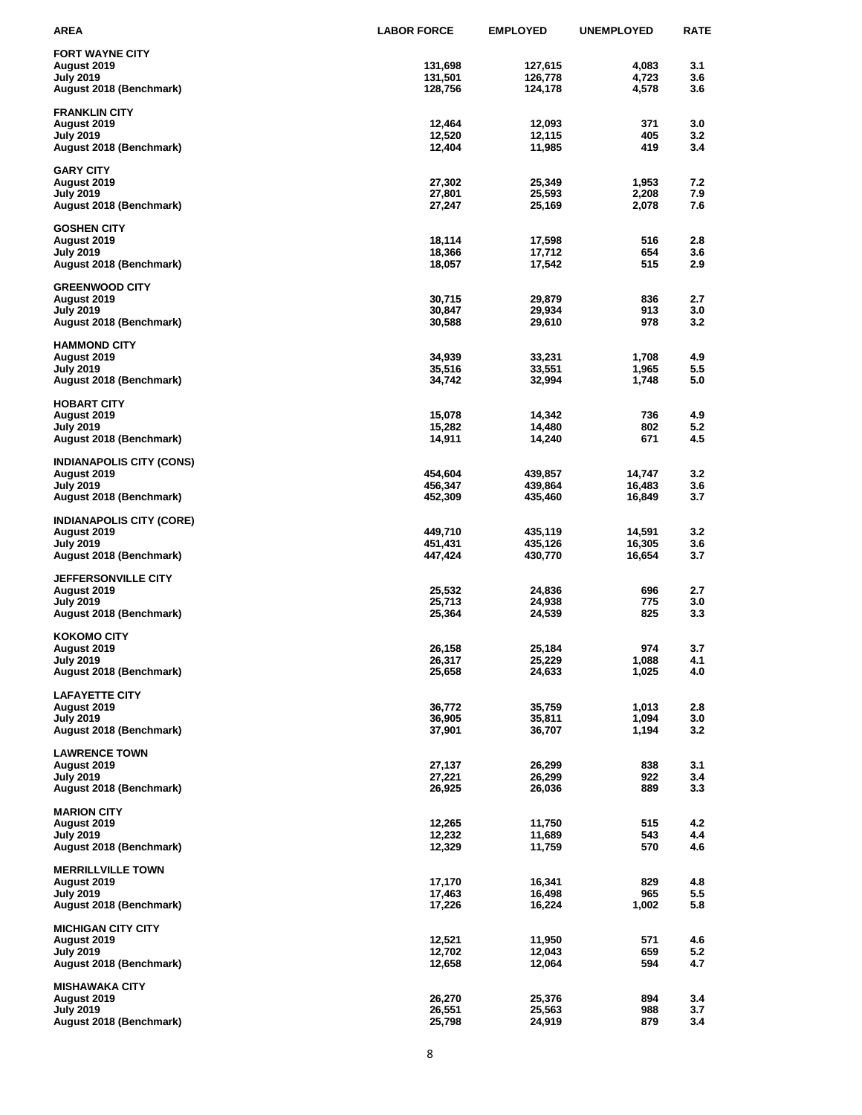| AREA                                           | <b>LABOR FORCE</b> | <b>EMPLOYED</b>    | <b>UNEMPLOYED</b> | <b>RATE</b> |
|------------------------------------------------|--------------------|--------------------|-------------------|-------------|
| <b>FORT WAYNE CITY</b>                         |                    |                    |                   |             |
| August 2019                                    | 131,698            | 127,615            | 4,083             | 3.1         |
| <b>July 2019</b>                               | 131,501            | 126,778            | 4,723             | 3.6         |
| August 2018 (Benchmark)                        | 128,756            | 124,178            | 4,578             | 3.6         |
| <b>FRANKLIN CITY</b>                           |                    |                    |                   |             |
| August 2019                                    | 12,464             | 12,093             | 371               | 3.0         |
| July 2019                                      | 12,520             | 12,115             | 405               | 3.2         |
| August 2018 (Benchmark)                        | 12,404             | 11,985             | 419               | 3.4         |
|                                                |                    |                    |                   |             |
| <b>GARY CITY</b>                               |                    |                    |                   |             |
| August 2019<br>July 2019                       | 27,302<br>27,801   | 25,349<br>25,593   | 1,953<br>2,208    | 7.2<br>7.9  |
| August 2018 (Benchmark)                        | 27,247             | 25,169             | 2,078             | 7.6         |
|                                                |                    |                    |                   |             |
| <b>GOSHEN CITY</b>                             |                    |                    |                   |             |
| August 2019                                    | 18,114             | 17,598             | 516               | 2.8         |
| July 2019<br>August 2018 (Benchmark)           | 18,366<br>18,057   | 17,712<br>17,542   | 654<br>515        | 3.6<br>2.9  |
|                                                |                    |                    |                   |             |
| <b>GREENWOOD CITY</b>                          |                    |                    |                   |             |
| August 2019                                    | 30,715             | 29,879             | 836               | 2.7         |
| July 2019                                      | 30,847             | 29,934             | 913               | 3.0         |
| August 2018 (Benchmark)                        | 30,588             | 29,610             | 978               | 3.2         |
| <b>HAMMOND CITY</b>                            |                    |                    |                   |             |
| August 2019                                    | 34,939             | 33,231             | 1,708             | 4.9         |
| <b>July 2019</b>                               | 35,516             | 33,551             | 1,965             | 5.5         |
| August 2018 (Benchmark)                        | 34,742             | 32,994             | 1,748             | 5.0         |
| <b>HOBART CITY</b>                             |                    |                    |                   |             |
| August 2019                                    | 15,078             | 14,342             | 736               | 4.9         |
| July 2019                                      | 15,282             | 14,480             | 802               | 5.2         |
| August 2018 (Benchmark)                        | 14,911             | 14,240             | 671               | 4.5         |
|                                                |                    |                    |                   |             |
| <b>INDIANAPOLIS CITY (CONS)</b><br>August 2019 | 454,604            | 439,857            | 14,747            | 3.2         |
| July 2019                                      | 456,347            | 439,864            | 16,483            | 3.6         |
| August 2018 (Benchmark)                        | 452,309            | 435,460            | 16,849            | 3.7         |
|                                                |                    |                    |                   |             |
| <b>INDIANAPOLIS CITY (CORE)</b>                |                    |                    |                   |             |
| August 2019<br>July 2019                       | 449,710<br>451,431 | 435,119<br>435,126 | 14,591<br>16,305  | 3.2<br>3.6  |
| August 2018 (Benchmark)                        | 447,424            | 430,770            | 16,654            | 3.7         |
|                                                |                    |                    |                   |             |
| <b>JEFFERSONVILLE CITY</b>                     |                    |                    |                   |             |
| August 2019                                    | 25,532             | 24,836             | 696               | 2.7         |
| <b>July 2019</b><br>August 2018 (Benchmark)    | 25,713<br>25,364   | 24,938<br>24,539   | 775<br>825        | 3.0<br>3.3  |
|                                                |                    |                    |                   |             |
| <b>KOKOMO CITY</b>                             |                    |                    |                   |             |
| August 2019                                    | 26,158             | 25,184             | 974               | 3.7         |
| July 2019                                      | 26,317             | 25,229             | 1,088             | 4.1         |
| August 2018 (Benchmark)                        | 25,658             | 24,633             | 1,025             | 4.0         |
| <b>LAFAYETTE CITY</b>                          |                    |                    |                   |             |
| August 2019                                    | 36,772             | 35,759             | 1,013             | 2.8         |
| <b>July 2019</b>                               | 36,905             | 35,811             | 1,094             | 3.0         |
| August 2018 (Benchmark)                        | 37,901             | 36,707             | 1,194             | 3.2         |
| <b>LAWRENCE TOWN</b>                           |                    |                    |                   |             |
| August 2019                                    | 27,137             | 26,299             | 838               | 3.1         |
| <b>July 2019</b>                               | 27,221             | 26,299             | 922               | 3.4         |
| August 2018 (Benchmark)                        | 26,925             | 26,036             | 889               | 3.3         |
| <b>MARION CITY</b>                             |                    |                    |                   |             |
| August 2019                                    | 12,265             | 11,750             | 515               | 4.2         |
| <b>July 2019</b>                               | 12,232             | 11,689             | 543               | 4.4         |
| August 2018 (Benchmark)                        | 12,329             | 11,759             | 570               | 4.6         |
|                                                |                    |                    |                   |             |
| <b>MERRILLVILLE TOWN</b>                       | 17,170             | 16,341             | 829               | 4.8         |
| August 2019<br>July 2019                       | 17,463             | 16,498             | 965               | 5.5         |
| August 2018 (Benchmark)                        | 17,226             | 16,224             | 1,002             | 5.8         |
|                                                |                    |                    |                   |             |
| <b>MICHIGAN CITY CITY</b>                      |                    |                    |                   |             |
| August 2019                                    | 12,521<br>12,702   | 11,950             | 571               | 4.6         |
| <b>July 2019</b><br>August 2018 (Benchmark)    | 12,658             | 12,043<br>12,064   | 659<br>594        | 5.2<br>4.7  |
|                                                |                    |                    |                   |             |
| <b>MISHAWAKA CITY</b>                          |                    |                    |                   |             |
| August 2019                                    | 26,270             | 25,376             | 894               | 3.4         |
| July 2019<br>August 2018 (Benchmark)           | 26,551<br>25,798   | 25,563<br>24,919   | 988<br>879        | 3.7<br>3.4  |
|                                                |                    |                    |                   |             |